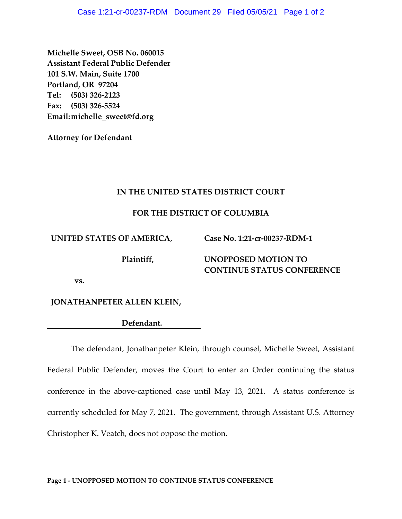**Michelle Sweet, OSB No. 060015 Assistant Federal Public Defender 101 S.W. Main, Suite 1700 Portland, OR 97204 Tel: (503) 326-2123 Fax: (503) 326-5524 Email:michelle\_sweet@fd.org**

**Attorney for Defendant**

## **IN THE UNITED STATES DISTRICT COURT**

## **FOR THE DISTRICT OF COLUMBIA**

**UNITED STATES OF AMERICA,**

**Case No. 1:21-cr-00237-RDM-1**

**Plaintiff,**

**UNOPPOSED MOTION TO CONTINUE STATUS CONFERENCE**

**vs.**

**JONATHANPETER ALLEN KLEIN,**

**Defendant.**

The defendant, Jonathanpeter Klein, through counsel, Michelle Sweet, Assistant Federal Public Defender, moves the Court to enter an Order continuing the status conference in the above-captioned case until May 13, 2021. A status conference is currently scheduled for May 7, 2021. The government, through Assistant U.S. Attorney Christopher K. Veatch, does not oppose the motion.